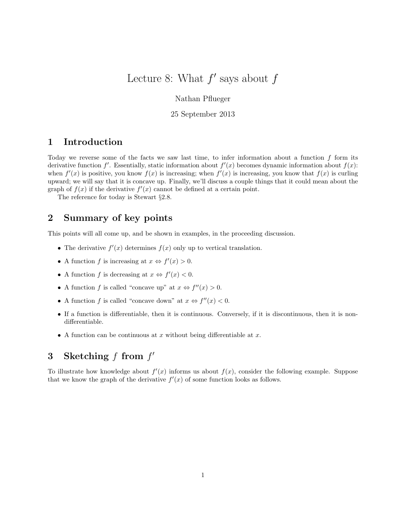# Lecture 8: What  $f'$  says about  $f$

Nathan Pflueger

25 September 2013

### 1 Introduction

Today we reverse some of the facts we saw last time, to infer information about a function f form its derivative function  $f'$ . Essentially, static information about  $f'(x)$  becomes dynamic information about  $f(x)$ : when  $f'(x)$  is positive, you know  $f(x)$  is increasing; when  $f'(x)$  is increasing, you know that  $f(x)$  is curling upward; we will say that it is concave up. Finally, we'll discuss a couple things that it could mean about the graph of  $f(x)$  if the derivative  $f'(x)$  cannot be defined at a certain point.

The reference for today is Stewart §2.8.

### 2 Summary of key points

This points will all come up, and be shown in examples, in the proceeding discussion.

- The derivative  $f'(x)$  determines  $f(x)$  only up to vertical translation.
- A function f is increasing at  $x \Leftrightarrow f'(x) > 0$ .
- A function f is decreasing at  $x \Leftrightarrow f'(x) < 0$ .
- A function f is called "concave up" at  $x \Leftrightarrow f''(x) > 0$ .
- A function f is called "concave down" at  $x \Leftrightarrow f''(x) < 0$ .
- If a function is differentiable, then it is continuous. Conversely, if it is discontinuous, then it is nondifferentiable.
- A function can be continuous at x without being differentiable at  $x$ .

## 3 Sketching  $f$  from  $f'$

To illustrate how knowledge about  $f'(x)$  informs us about  $f(x)$ , consider the following example. Suppose that we know the graph of the derivative  $f'(x)$  of some function looks as follows.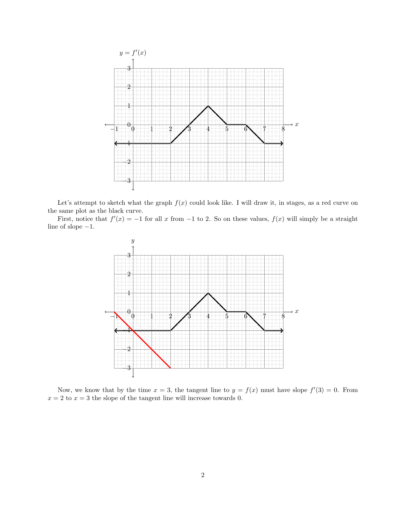

Let's attempt to sketch what the graph  $f(x)$  could look like. I will draw it, in stages, as a red curve on the same plot as the black curve.

First, notice that  $f'(x) = -1$  for all x from  $-1$  to 2. So on these values,  $f(x)$  will simply be a straight line of slope −1.



Now, we know that by the time  $x = 3$ , the tangent line to  $y = f(x)$  must have slope  $f'(3) = 0$ . From  $x = 2$  to  $x = 3$  the slope of the tangent line will increase towards 0.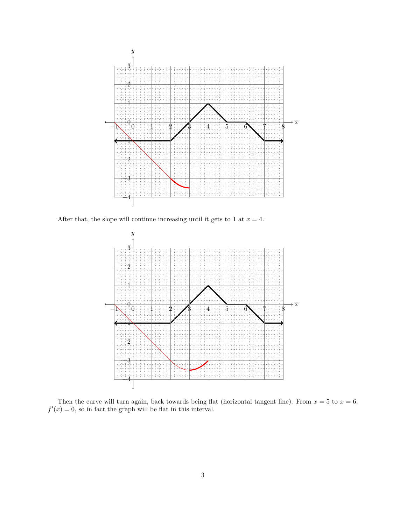

After that, the slope will continue increasing until it gets to 1 at  $x = 4$ .



Then the curve will turn again, back towards being flat (horizontal tangent line). From  $x = 5$  to  $x = 6$ ,  $f'(x) = 0$ , so in fact the graph will be flat in this interval.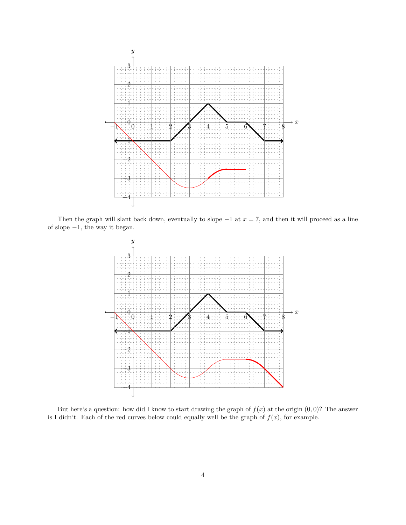

Then the graph will slant back down, eventually to slope  $-1$  at  $x = 7$ , and then it will proceed as a line of slope −1, the way it began.



But here's a question: how did I know to start drawing the graph of  $f(x)$  at the origin  $(0,0)$ ? The answer is I didn't. Each of the red curves below could equally well be the graph of  $f(x)$ , for example.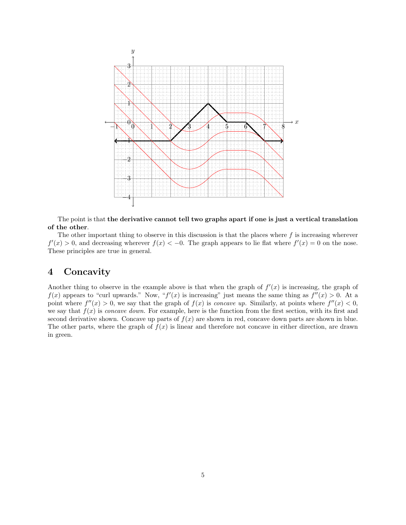

The point is that the derivative cannot tell two graphs apart if one is just a vertical translation of the other.

The other important thing to observe in this discussion is that the places where  $f$  is increasing wherever  $f'(x) > 0$ , and decreasing wherever  $f(x) < -0$ . The graph appears to lie flat where  $f'(x) = 0$  on the nose. These principles are true in general.

### 4 Concavity

Another thing to observe in the example above is that when the graph of  $f'(x)$  is increasing, the graph of  $f(x)$  appears to "curl upwards." Now, " $f'(x)$  is increasing" just means the same thing as  $f''(x) > 0$ . At a point where  $f''(x) > 0$ , we say that the graph of  $f(x)$  is *concave up*. Similarly, at points where  $f''(x) < 0$ , we say that  $f(x)$  is concave down. For example, here is the function from the first section, with its first and second derivative shown. Concave up parts of  $f(x)$  are shown in red, concave down parts are shown in blue. The other parts, where the graph of  $f(x)$  is linear and therefore not concave in either direction, are drawn in green.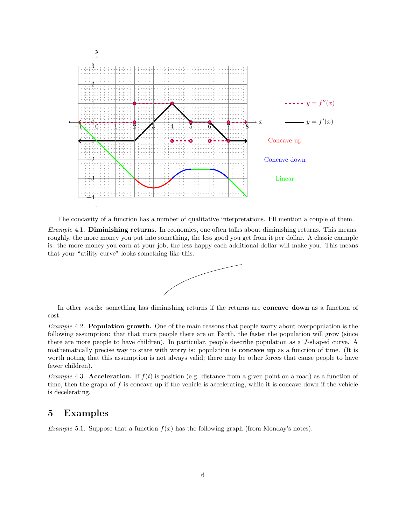

The concavity of a function has a number of qualitative interpretations. I'll mention a couple of them.

Example 4.1. Diminishing returns. In economics, one often talks about diminishing returns. This means, roughly, the more money you put into something, the less good you get from it per dollar. A classic example is: the more money you earn at your job, the less happy each additional dollar will make you. This means that your "utility curve" looks something like this.



In other words: something has diminishing returns if the returns are concave down as a function of cost.

Example 4.2. Population growth. One of the main reasons that people worry about overpopulation is the following assumption: that that more people there are on Earth, the faster the population will grow (since there are more people to have children). In particular, people describe population as a J-shaped curve. A mathematically precise way to state with worry is: population is concave up as a function of time. (It is worth noting that this assumption is not always valid; there may be other forces that cause people to have fewer children).

Example 4.3. Acceleration. If  $f(t)$  is position (e.g. distance from a given point on a road) as a function of time, then the graph of  $f$  is concave up if the vehicle is accelerating, while it is concave down if the vehicle is decelerating.

#### 5 Examples

*Example* 5.1. Suppose that a function  $f(x)$  has the following graph (from Monday's notes).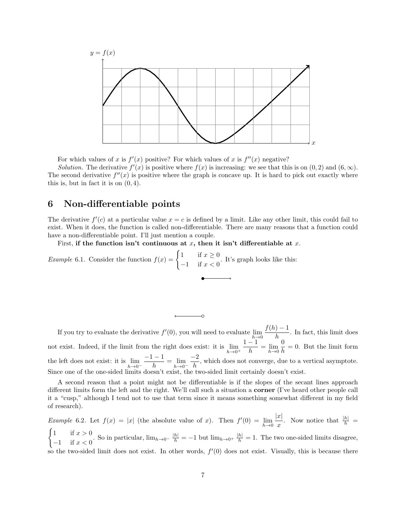

For which values of x is  $f'(x)$  positive? For which values of x is  $f''(x)$  negative?

Solution. The derivative  $f'(x)$  is positive where  $f(x)$  is increasing: we see that this is on  $(0, 2)$  and  $(6, \infty)$ . The second derivative  $f''(x)$  is positive where the graph is concave up. It is hard to pick out exactly where this is, but in fact it is on  $(0, 4)$ .

### 6 Non-differentiable points

The derivative  $f'(c)$  at a particular value  $x = c$  is defined by a limit. Like any other limit, this could fail to exist. When it does, the function is called non-differentiable. There are many reasons that a function could have a non-differentiable point. I'll just mention a couple.

First, if the function isn't continuous at x, then it isn't differentiable at x.

*Example* 6.1. Consider the function  $f(x) = \begin{cases} 1 & \text{if } x \geq 0 \\ 1 & \text{if } x \geq 0 \end{cases}$  $\frac{1}{x-1}$  if  $x < 0$ . It's graph looks like this:

If you try to evaluate the derivative  $f'(0)$ , you will need to evaluate  $\lim_{h\to 0}$  $f(h) - 1$  $\frac{h}{h}$ . In fact, this limit does not exist. Indeed, if the limit from the right does exist: it is  $\lim_{h\to 0^+}$  $1 - 1$  $\frac{1}{h} = \lim_{h \to 0}$ 0  $\frac{\delta}{h} = 0$ . But the limit form the left does not exist: it is  $\lim_{h\to 0^-}$  $-1-1$  $\frac{1}{h} = \lim_{h \to 0^-}$  $-2$  $\frac{1}{h}$ , which does not converge, due to a vertical asymptote. Since one of the one-sided limits doesn't exist, the two-sided limit certainly doesn't exist.

A second reason that a point might not be differentiable is if the slopes of the secant lines approach different limits form the left and the right. We'll call such a situation a corner (I've heard other people call it a "cusp," although I tend not to use that term since it means something somewhat different in my field of research).

*Example* 6.2. Let  $f(x) = |x|$  (the absolute value of x). Then  $f'(0) = \lim_{h\to 0}$  $|x|$  $\frac{x}{x}$ . Now notice that  $\frac{|h|}{h}$  =  $\int 1$  if  $x > 0$  $\frac{1}{h-1}$  if  $x > 0$ . So in particular,  $\lim_{h\to 0^-} \frac{|h|}{h} = -1$  but  $\lim_{h\to 0^+} \frac{|h|}{h} = 1$ . The two one-sided limits disagree, so the two-sided limit does not exist. In other words,  $f'(0)$  does not exist. Visually, this is because there